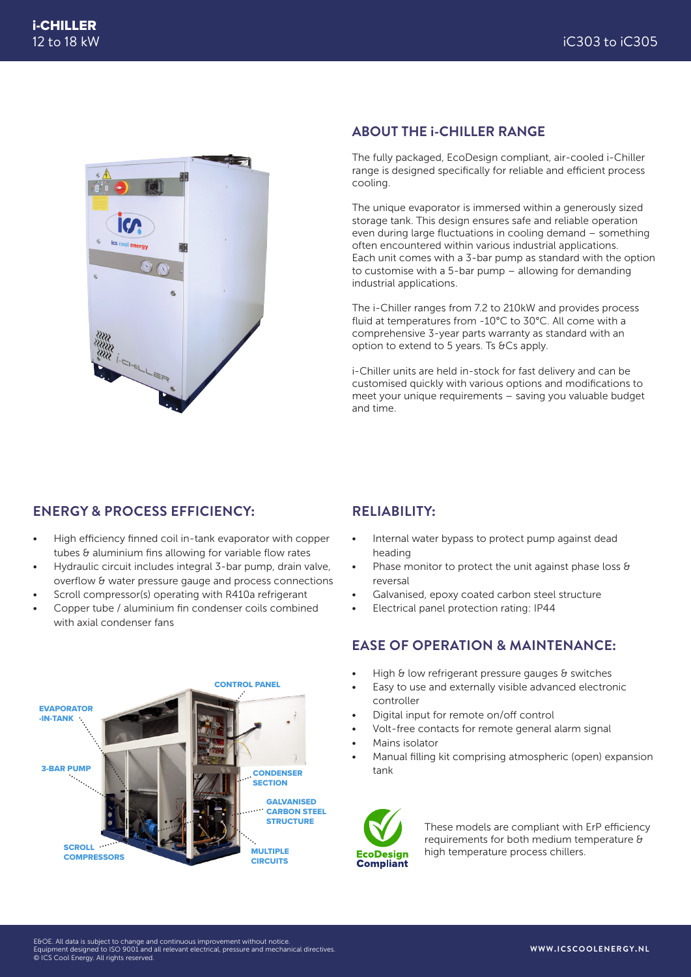

#### **ABOUT THE i-CHILLER RANGE**

The fully packaged, EcoDesign compliant, air-cooled i-Chiller range is designed specifically for reliable and efficient process cooling.

The unique evaporator is immersed within a generously sized storage tank. This design ensures safe and reliable operation even during large fluctuations in cooling demand – something often encountered within various industrial applications. Each unit comes with a 3-bar pump as standard with the option to customise with a 5-bar pump – allowing for demanding industrial applications.

The i-Chiller ranges from 7.2 to 210kW and provides process fluid at temperatures from -10°C to 30°C. All come with a comprehensive 3-year parts warranty as standard with an option to extend to 5 years. Ts &Cs apply.

i-Chiller units are held in-stock for fast delivery and can be customised quickly with various options and modifications to meet your unique requirements – saving you valuable budget and time.

# **ENERGY & PROCESS EFFICIENCY:**

- High efficiency finned coil in-tank evaporator with copper tubes & aluminium fins allowing for variable flow rates
- Hydraulic circuit includes integral 3-bar pump, drain valve, overflow & water pressure gauge and process connections
- Scroll compressor(s) operating with R410a refrigerant
- Copper tube / aluminium fin condenser coils combined with axial condenser fans



# **RELIABILITY:**

- Internal water bypass to protect pump against dead heading
- Phase monitor to protect the unit against phase loss & reversal
- Galvanised, epoxy coated carbon steel structure
- Electrical panel protection rating: IP44

# **EASE OF OPERATION & MAINTENANCE:**

- High & low refrigerant pressure gauges & switches
- Easy to use and externally visible advanced electronic controller
- Digital input for remote on/off control
- Volt-free contacts for remote general alarm signal
- Mains isolator
- Manual filling kit comprising atmospheric (open) expansion tank



These models are compliant with ErP efficiency requirements for both medium temperature & high temperature process chillers.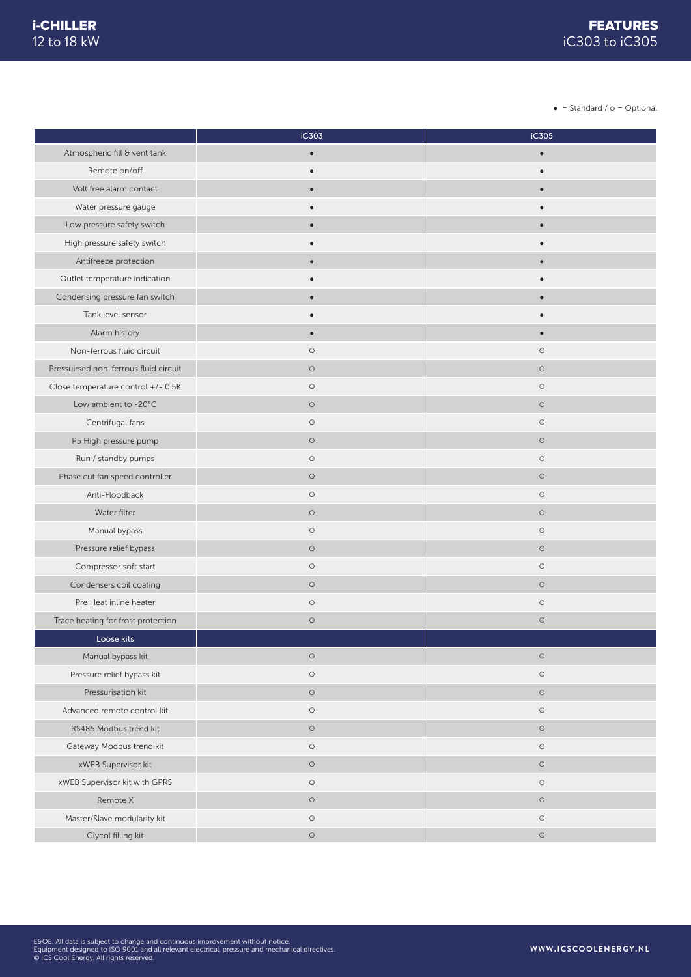$\bullet$  = Standard /  $\circ$  = Optional

|                                       | iC303     | iC305     |
|---------------------------------------|-----------|-----------|
| Atmospheric fill & vent tank          | $\bullet$ | $\bullet$ |
| Remote on/off                         | $\bullet$ | $\bullet$ |
| Volt free alarm contact               | $\bullet$ | $\bullet$ |
| Water pressure gauge                  |           |           |
| Low pressure safety switch            |           |           |
| High pressure safety switch           | $\bullet$ |           |
| Antifreeze protection                 | $\bullet$ |           |
| Outlet temperature indication         |           |           |
| Condensing pressure fan switch        | $\bullet$ | $\bullet$ |
| Tank level sensor                     |           |           |
| Alarm history                         | $\bullet$ | $\bullet$ |
| Non-ferrous fluid circuit             | $\circ$   | $\circ$   |
| Pressuirsed non-ferrous fluid circuit | $\circ$   | $\circ$   |
| Close temperature control +/- 0.5K    | $\circ$   | $\circ$   |
| Low ambient to -20°C                  | $\circ$   | $\circ$   |
| Centrifugal fans                      | $\circ$   | $\circ$   |
| P5 High pressure pump                 | $\circ$   | $\circ$   |
| Run / standby pumps                   | $\circ$   | $\circ$   |
| Phase cut fan speed controller        | $\circ$   | $\circ$   |
| Anti-Floodback                        | $\circ$   | $\circ$   |
| Water filter                          | $\circ$   | $\circ$   |
| Manual bypass                         | $\circ$   | $\circ$   |
| Pressure relief bypass                | $\circ$   | $\circ$   |
| Compressor soft start                 | $\circ$   | $\circ$   |
| Condensers coil coating               | $\circ$   | $\circ$   |
| Pre Heat inline heater                | $\circ$   | $\circ$   |
| Trace heating for frost protection    | $\circ$   | $\circ$   |
| Loose kits                            |           |           |
| Manual bypass kit                     | $\circ$   | $\circ$   |
| Pressure relief bypass kit            | $\circ$   | $\circ$   |
| Pressurisation kit                    | $\circ$   | $\circ$   |
| Advanced remote control kit           | $\circ$   | $\circ$   |
| RS485 Modbus trend kit                | $\circ$   | $\circ$   |
| Gateway Modbus trend kit              | $\circ$   | $\circ$   |
| xWEB Supervisor kit                   | $\circ$   | $\circ$   |
| xWEB Supervisor kit with GPRS         | $\circ$   | $\circ$   |
| Remote X                              | $\circ$   | $\circ$   |
| Master/Slave modularity kit           | $\circ$   | $\circ$   |
| Glycol filling kit                    | $\circ$   | $\circ$   |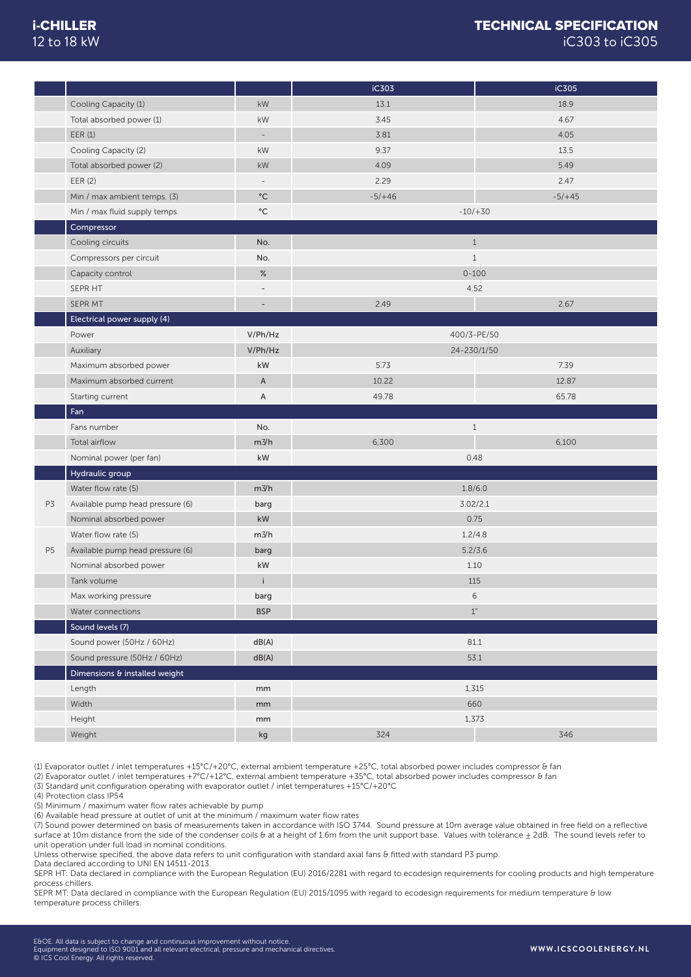# 12 to 18 kW

# i-CHILLER TECHNICAL SPECIFICATION iC303 to iC305

|                |                                  |                          | iC303    | iC305              |
|----------------|----------------------------------|--------------------------|----------|--------------------|
|                | Cooling Capacity (1)             | kW                       | 13.1     | 18.9               |
|                | Total absorbed power (1)         | kW                       | 3.45     | 4.67               |
|                | EER(1)                           | $\overline{\phantom{a}}$ | 3.81     | 4.05               |
|                | Cooling Capacity (2)             | kW                       | 9.37     | 13.5               |
|                | Total absorbed power (2)         | kW                       | 4.09     | 5.49               |
|                | EER (2)                          | $\qquad \qquad -$        | 2.29     | 2.47               |
|                | Min / max ambient temps. (3)     | $^{\circ}$ C             | $-5/+46$ | $-5/+45$           |
|                | Min / max fluid supply temps.    | $^{\circ}{\rm C}$        |          | $-10/ + 30$        |
|                | Compressor                       |                          |          |                    |
|                | Cooling circuits                 | No.                      |          | $\mathbf{1}$       |
|                | Compressors per circuit          | No.                      |          | $1\,$              |
|                | Capacity control                 | $\%$                     |          | $0 - 100$          |
|                | SEPR HT                          | $\overline{\phantom{m}}$ | 4.52     |                    |
|                | SEPR MT                          |                          | 2.49     | 2.67               |
|                | Electrical power supply (4)      |                          |          |                    |
|                | Power                            | V/Ph/Hz                  |          | 400/3-PE/50        |
|                | Auxiliary                        | V/Ph/Hz                  |          | 24-230/1/50        |
|                | Maximum absorbed power           | kW                       | 5.73     | 7.39               |
|                | Maximum absorbed current         | $\mathsf A$              | 10.22    | 12.87              |
|                | Starting current                 | A                        | 49.78    | 65.78              |
|                | Fan                              |                          |          |                    |
|                | Fans number                      | No.                      |          | $\mathbf{1}$       |
|                | Total airflow                    | $m\frac{3}{h}$           | 6,300    | 6,100              |
|                | Nominal power (per fan)          | kW                       |          | 0.48               |
|                | Hydraulic group                  |                          |          |                    |
|                | Water flow rate (5)              | $m\frac{3}{h}$           |          | 1.8/6.0            |
| P3             | Available pump head pressure (6) | barg                     |          | 3.02/2.1           |
|                | Nominal absorbed power           | $\mathsf{k}\mathsf{W}$   |          | 0.75               |
|                | Water flow rate (5)              | $m\frac{3}{h}$           | 1.2/4.8  |                    |
| P <sub>5</sub> | Available pump head pressure (6) | barg                     | 5.2/3.6  |                    |
|                | Nominal absorbed power           | kW                       |          | 1.10               |
|                | Tank volume                      | i                        |          | 115                |
|                | Max working pressure             | barg                     |          | 6                  |
|                | Water connections                | <b>BSP</b>               |          | $1\ensuremath{''}$ |
|                | Sound levels (7)                 |                          |          |                    |
|                | Sound power (50Hz / 60Hz)        | dB(A)                    |          | 81.1               |
|                | Sound pressure (50Hz / 60Hz)     | dB(A)                    |          | 53.1               |
|                | Dimensions & installed weight    |                          |          |                    |
|                | Length                           | mm                       |          | 1,315              |
|                |                                  |                          |          |                    |
|                | Width                            | mm                       |          | 660                |
|                | Height                           | mm                       |          | 1,373              |

(1) Evaporator outlet / inlet temperatures +15°C/+20°C, external ambient temperature +25°C, total absorbed power includes compressor & fan

(2) Evaporator outlet / inlet temperatures +7°C/+12°C, external ambient temperature +35°C, total absorbed power includes compressor & fan

(3) Standard unit configuration operating with evaporator outlet / inlet temperatures +15°C/+20°C

(4) Protection class IP54

(5) Minimum / maximum water flow rates achievable by pump

(6) Available head pressure at outlet of unit at the minimum / maximum water flow rates

(7) Sound power determined on basis of measurements taken in accordance with ISO 3744. Sound pressure at 10m average value obtained in free field on a reflective surface at 10m distance from the side of the condenser coils & at a height of 1.6m from the unit support base. Values with tolerance  $\pm$  2dB. The sound levels refer to unit operation under full load in nominal conditions.

Unless otherwise specified, the above data refers to unit configuration with standard axial fans & fitted with standard P3 pump.

Data declared according to UNI EN 14511-2013.

SEPR HT: Data declared in compliance with the European Regulation (EU) 2016/2281 with regard to ecodesign requirements for cooling products and high temperature process chillers.

SEPR MT: Data declared in compliance with the European Regulation (EU) 2015/1095 with regard to ecodesign requirements for medium temperature & low temperature process chillers.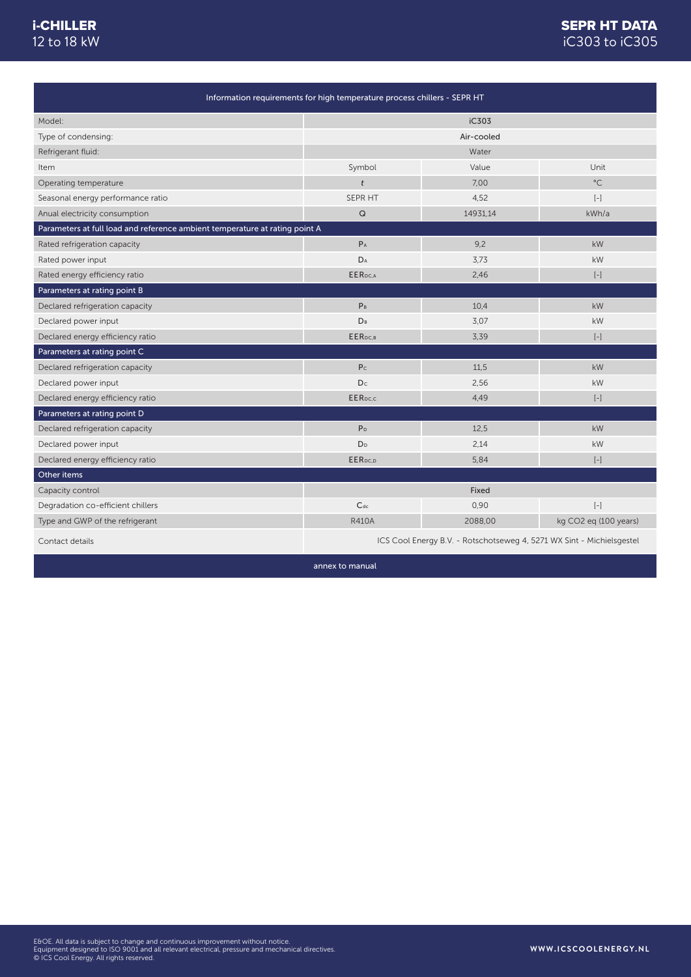# 12 to 18 kW

# i-CHILLER **SEPR HT DATA** iC303 to iC305

| Information requirements for high temperature process chillers - SEPR HT    |                                                                       |          |                                                                                                                                                                                                                     |
|-----------------------------------------------------------------------------|-----------------------------------------------------------------------|----------|---------------------------------------------------------------------------------------------------------------------------------------------------------------------------------------------------------------------|
| Model:                                                                      | iC303                                                                 |          |                                                                                                                                                                                                                     |
| Type of condensing:                                                         | Air-cooled                                                            |          |                                                                                                                                                                                                                     |
| Refrigerant fluid:                                                          |                                                                       | Water    |                                                                                                                                                                                                                     |
| Item                                                                        | Symbol                                                                | Value    | Unit                                                                                                                                                                                                                |
| Operating temperature                                                       | $\dot{t}$                                                             | 7.00     | $^{\circ}$ C                                                                                                                                                                                                        |
| Seasonal energy performance ratio                                           | SEPR HT                                                               | 4,52     | $\left[ -\right] % \begin{minipage}[b]{.45\linewidth} \centering \includegraphics[width=\textwidth]{figs/fig_4b}% \caption{The average number of times in the left and right.} \label{fig:fig_4b}% \end{minipage}%$ |
| Anual electricity consumption                                               | $\mathsf Q$                                                           | 14931,14 | kWh/a                                                                                                                                                                                                               |
| Parameters at full load and reference ambient temperature at rating point A |                                                                       |          |                                                                                                                                                                                                                     |
| Rated refrigeration capacity                                                | $P_A$                                                                 | 9,2      | kW                                                                                                                                                                                                                  |
| Rated power input                                                           | DA                                                                    | 3.73     | kW                                                                                                                                                                                                                  |
| Rated energy efficiency ratio                                               | EER <sub>DC,A</sub>                                                   | 2,46     | $\left[ -\right]$                                                                                                                                                                                                   |
| Parameters at rating point B                                                |                                                                       |          |                                                                                                                                                                                                                     |
| Declared refrigeration capacity                                             | P <sub>B</sub>                                                        | 10,4     | kW                                                                                                                                                                                                                  |
| Declared power input                                                        | <b>D</b> <sub>B</sub>                                                 | 3,07     | kW                                                                                                                                                                                                                  |
| Declared energy efficiency ratio                                            | EER <sub>DC,B</sub>                                                   | 3,39     | $\left[ -\right]$                                                                                                                                                                                                   |
| Parameters at rating point C                                                |                                                                       |          |                                                                                                                                                                                                                     |
| Declared refrigeration capacity                                             | P <sub>c</sub>                                                        | 11,5     | kW                                                                                                                                                                                                                  |
| Declared power input                                                        | D <sub>c</sub>                                                        | 2,56     | kW                                                                                                                                                                                                                  |
| Declared energy efficiency ratio                                            | <b>EER</b> pc.c                                                       | 4,49     | $\left[ -\right]$                                                                                                                                                                                                   |
| Parameters at rating point D                                                |                                                                       |          |                                                                                                                                                                                                                     |
| Declared refrigeration capacity                                             | P <sub>D</sub>                                                        | 12,5     | <b>kW</b>                                                                                                                                                                                                           |
| Declared power input                                                        | D <sub>D</sub>                                                        | 2,14     | kW                                                                                                                                                                                                                  |
| Declared energy efficiency ratio                                            | EERpc.p                                                               | 5,84     | $\left[ -\right] % \begin{minipage}[b]{.45\linewidth} \centering \includegraphics[width=\textwidth]{figs/fig_4b}% \caption{The average number of times in the left and right.} \label{fig:fig_4b}% \end{minipage}%$ |
| Other items                                                                 |                                                                       |          |                                                                                                                                                                                                                     |
| Capacity control                                                            |                                                                       | Fixed    |                                                                                                                                                                                                                     |
| Degradation co-efficient chillers                                           | $C_{dc}$                                                              | 0,90     | $\left[ -\right] % \begin{minipage}[b]{.45\linewidth} \centering \includegraphics[width=\textwidth]{figs/fig_4b}% \caption{The average number of times in the left and right.} \label{fig:fig_4b}% \end{minipage}%$ |
| Type and GWP of the refrigerant                                             | <b>R410A</b>                                                          | 2088,00  | kg CO2 eq (100 years)                                                                                                                                                                                               |
| Contact details                                                             | ICS Cool Energy B.V. - Rotschotseweg 4, 5271 WX Sint - Michielsgestel |          |                                                                                                                                                                                                                     |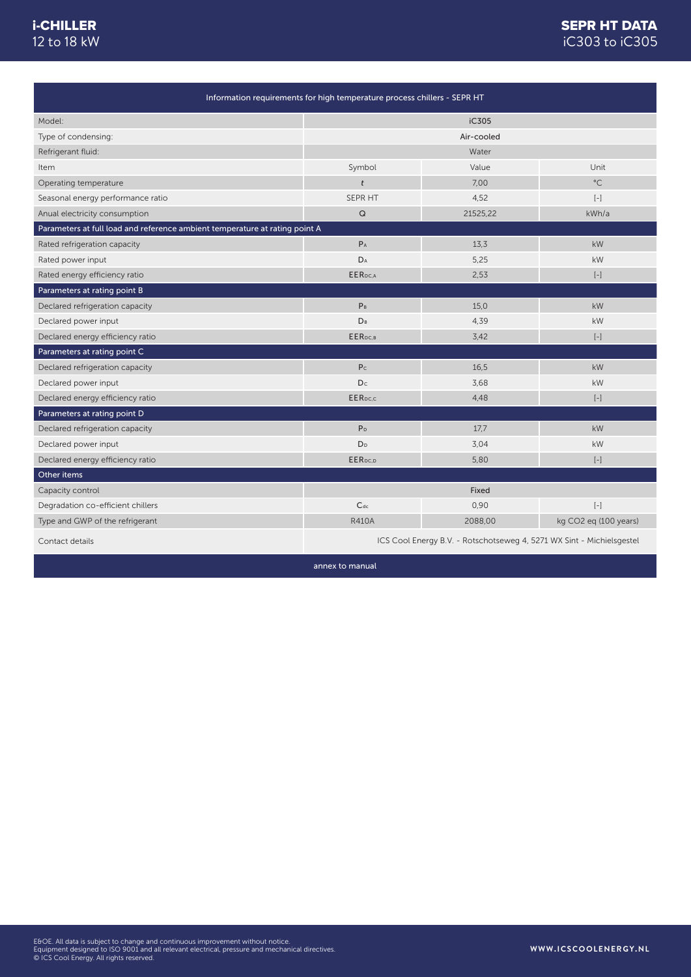### i-CHILLER 12 to 18 kW

# iC303 to iC305 SEPR HT DATA

| Information requirements for high temperature process chillers - SEPR HT    |                                                                       |          |                                                                                                                                                                                                                     |
|-----------------------------------------------------------------------------|-----------------------------------------------------------------------|----------|---------------------------------------------------------------------------------------------------------------------------------------------------------------------------------------------------------------------|
| Model:                                                                      | iC305                                                                 |          |                                                                                                                                                                                                                     |
| Type of condensing:                                                         | Air-cooled                                                            |          |                                                                                                                                                                                                                     |
| Refrigerant fluid:                                                          |                                                                       | Water    |                                                                                                                                                                                                                     |
| Item                                                                        | Symbol                                                                | Value    | Unit                                                                                                                                                                                                                |
| Operating temperature                                                       | $\dot{t}$                                                             | 7.00     | $^{\circ}$ C                                                                                                                                                                                                        |
| Seasonal energy performance ratio                                           | SEPR HT                                                               | 4,52     | $\left[ -\right] % \begin{minipage}[b]{.45\linewidth} \centering \includegraphics[width=\textwidth]{figs/fig_4b}% \caption{The average number of times in the left and right.} \label{fig:fig_4b}% \end{minipage}%$ |
| Anual electricity consumption                                               | $\mathsf Q$                                                           | 21525,22 | kWh/a                                                                                                                                                                                                               |
| Parameters at full load and reference ambient temperature at rating point A |                                                                       |          |                                                                                                                                                                                                                     |
| Rated refrigeration capacity                                                | $P_A$                                                                 | 13,3     | kW                                                                                                                                                                                                                  |
| Rated power input                                                           | DA                                                                    | 5,25     | kW                                                                                                                                                                                                                  |
| Rated energy efficiency ratio                                               | EER <sub>DC,A</sub>                                                   | 2,53     | $\left[ -\right]$                                                                                                                                                                                                   |
| Parameters at rating point B                                                |                                                                       |          |                                                                                                                                                                                                                     |
| Declared refrigeration capacity                                             | P <sub>B</sub>                                                        | 15.0     | kW                                                                                                                                                                                                                  |
| Declared power input                                                        | <b>D</b> <sub>B</sub>                                                 | 4,39     | kW                                                                                                                                                                                                                  |
| Declared energy efficiency ratio                                            | EER <sub>DC,B</sub>                                                   | 3,42     | $\left[ -\right]$                                                                                                                                                                                                   |
| Parameters at rating point C                                                |                                                                       |          |                                                                                                                                                                                                                     |
| Declared refrigeration capacity                                             | P <sub>c</sub>                                                        | 16.5     | kW                                                                                                                                                                                                                  |
| Declared power input                                                        | D <sub>c</sub>                                                        | 3,68     | kW                                                                                                                                                                                                                  |
| Declared energy efficiency ratio                                            | <b>EER</b> pc.c                                                       | 4,48     | $\left[ -\right]$                                                                                                                                                                                                   |
| Parameters at rating point D                                                |                                                                       |          |                                                                                                                                                                                                                     |
| Declared refrigeration capacity                                             | P <sub>D</sub>                                                        | 17,7     | <b>kW</b>                                                                                                                                                                                                           |
| Declared power input                                                        | D <sub>D</sub>                                                        | 3,04     | kW                                                                                                                                                                                                                  |
| Declared energy efficiency ratio                                            | EERpc.p                                                               | 5,80     | $\left[ -\right] % \begin{minipage}[b]{.45\linewidth} \centering \includegraphics[width=\textwidth]{figs/fig_4b}% \caption{The average number of times in the left and right.} \label{fig:fig_4b}% \end{minipage}%$ |
| Other items                                                                 |                                                                       |          |                                                                                                                                                                                                                     |
| Capacity control                                                            |                                                                       | Fixed    |                                                                                                                                                                                                                     |
| Degradation co-efficient chillers                                           | $C_{dc}$                                                              | 0,90     | $\left[ -\right] % \begin{minipage}[b]{.45\linewidth} \centering \includegraphics[width=\textwidth]{figs/fig_4b}% \caption{The average number of times in the left and right.} \label{fig:fig_4b}% \end{minipage}%$ |
| Type and GWP of the refrigerant                                             | <b>R410A</b>                                                          | 2088,00  | kg CO2 eq (100 years)                                                                                                                                                                                               |
| Contact details                                                             | ICS Cool Energy B.V. - Rotschotseweg 4, 5271 WX Sint - Michielsgestel |          |                                                                                                                                                                                                                     |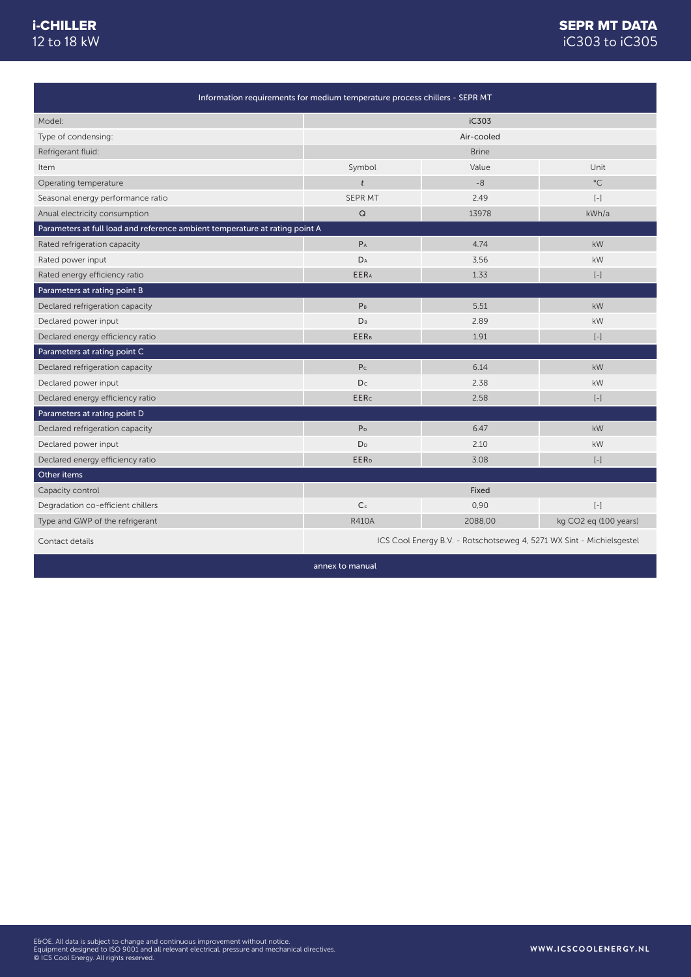# 12 to 18 kW

# i-CHILLER **SEPR MT DATA** iC303 to iC305

| Information requirements for medium temperature process chillers - SEPR MT  |                                                                       |              |                                                                                                                                                                                                                     |
|-----------------------------------------------------------------------------|-----------------------------------------------------------------------|--------------|---------------------------------------------------------------------------------------------------------------------------------------------------------------------------------------------------------------------|
| Model:                                                                      |                                                                       | iC303        |                                                                                                                                                                                                                     |
| Type of condensing:                                                         |                                                                       | Air-cooled   |                                                                                                                                                                                                                     |
| Refrigerant fluid:                                                          |                                                                       | <b>Brine</b> |                                                                                                                                                                                                                     |
| Item                                                                        | Symbol                                                                | Value        | Unit                                                                                                                                                                                                                |
| Operating temperature                                                       | $\dot{t}$                                                             | $-8$         | $^{\circ}$ C                                                                                                                                                                                                        |
| Seasonal energy performance ratio                                           | SEPR MT                                                               | 2.49         | $\left[ -\right]$                                                                                                                                                                                                   |
| Anual electricity consumption                                               | $\mathsf Q$                                                           | 13978        | kWh/a                                                                                                                                                                                                               |
| Parameters at full load and reference ambient temperature at rating point A |                                                                       |              |                                                                                                                                                                                                                     |
| Rated refrigeration capacity                                                | $P_A$                                                                 | 4.74         | kW                                                                                                                                                                                                                  |
| Rated power input                                                           | DA                                                                    | 3,56         | kW                                                                                                                                                                                                                  |
| Rated energy efficiency ratio                                               | <b>EERA</b>                                                           | 1.33         | $\left[ -\right]$                                                                                                                                                                                                   |
| Parameters at rating point B                                                |                                                                       |              |                                                                                                                                                                                                                     |
| Declared refrigeration capacity                                             | P <sub>B</sub>                                                        | 5.51         | kW                                                                                                                                                                                                                  |
| Declared power input                                                        | D <sub>B</sub>                                                        | 2.89         | kW                                                                                                                                                                                                                  |
| Declared energy efficiency ratio                                            | <b>EERB</b>                                                           | 1.91         | $\left[ -\right]$                                                                                                                                                                                                   |
| Parameters at rating point C                                                |                                                                       |              |                                                                                                                                                                                                                     |
| Declared refrigeration capacity                                             | P <sub>c</sub>                                                        | 6.14         | kW                                                                                                                                                                                                                  |
| Declared power input                                                        | D <sub>c</sub>                                                        | 2.38         | kW                                                                                                                                                                                                                  |
| Declared energy efficiency ratio                                            | <b>EERc</b>                                                           | 2.58         | $\left[ -\right]$                                                                                                                                                                                                   |
| Parameters at rating point D                                                |                                                                       |              |                                                                                                                                                                                                                     |
| Declared refrigeration capacity                                             | P <sub>D</sub>                                                        | 6.47         | kW                                                                                                                                                                                                                  |
| Declared power input                                                        | D <sub>D</sub>                                                        | 2.10         | kW                                                                                                                                                                                                                  |
| Declared energy efficiency ratio                                            | <b>EER</b> <sub>D</sub>                                               | 3.08         | $\left[ -\right] % \begin{minipage}[b]{.45\linewidth} \centering \includegraphics[width=\textwidth]{figs/fig_4b}% \caption{The average number of times in the left and right.} \label{fig:fig_4b}% \end{minipage}%$ |
| Other items                                                                 |                                                                       |              |                                                                                                                                                                                                                     |
| Capacity control                                                            |                                                                       | Fixed        |                                                                                                                                                                                                                     |
| Degradation co-efficient chillers                                           | $\mathsf{C}^\mathsf{c}$                                               | 0,90         | $\left[ -\right] % \begin{minipage}[b]{.45\linewidth} \centering \includegraphics[width=\textwidth]{figs/fig_4b}% \caption{The average number of times in the left and right.} \label{fig:fig_4b}% \end{minipage}%$ |
| Type and GWP of the refrigerant                                             | <b>R410A</b>                                                          | 2088,00      | kg CO2 eq (100 years)                                                                                                                                                                                               |
| Contact details                                                             | ICS Cool Energy B.V. - Rotschotseweg 4, 5271 WX Sint - Michielsgestel |              |                                                                                                                                                                                                                     |